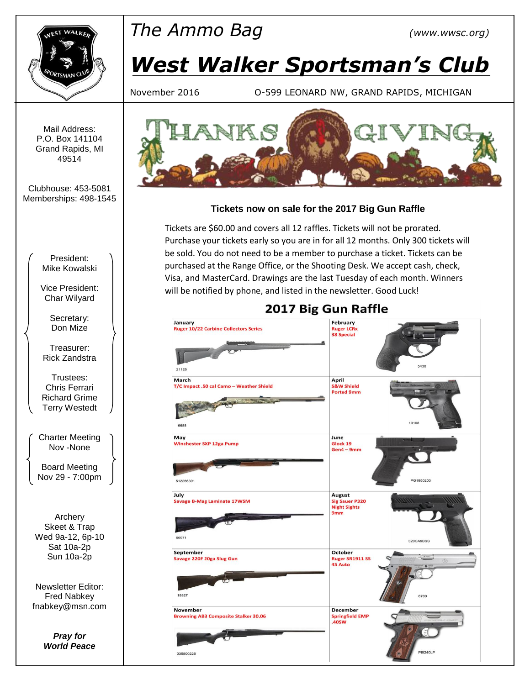

# *The Ammo Bag (www.wwsc.org)*

# *West Walker Sportsman's Club*

November 2016 O-599 LEONARD NW, GRAND RAPIDS, MICHIGAN

Mail Address: P.O. Box 141104 Grand Rapids, MI 49514

Clubhouse: 453-5081 Memberships: 498-1545

> President: Mike Kowalski

Vice President: Char Wilyard

> Secretary: Don Mize

Treasurer: Rick Zandstra

Trustees: Chris Ferrari Richard Grime Terry Westedt

Charter Meeting Nov -None

Board Meeting Nov 29 - 7:00pm

Archery Skeet & Trap Wed 9a-12, 6p-10 Sat 10a-2p Sun 10a-2p

Newsletter Editor: Fred Nabkey fnabkey@msn.com

> *Pray for World Peace*



## **Tickets now on sale for the 2017 Big Gun Raffle**

Tickets are \$60.00 and covers all 12 raffles. Tickets will not be prorated. Purchase your tickets early so you are in for all 12 months. Only 300 tickets will be sold. You do not need to be a member to purchase a ticket. Tickets can be purchased at the Range Office, or the Shooting Desk. We accept cash, check, Visa, and MasterCard. Drawings are the last Tuesday of each month. Winners will be notified by phone, and listed in the newsletter. Good Luck!

#### February January Ruger 10/22 Carbine Collectors Series **Ruger LCRx 38 Special** 21125 March April .<br>S&W Shield T/C Impact .50 cal Camo - Weather Shield **Ported 9mm** 1010 668 May June Glock 19 **Winchester SXP 12ga Pump**  $Gen4 - 9mm$ PG1950203 512266391 July **August Savage B-Mag Laminate 17WSM Sig Sauer P320 Night Sights**  $9mm$  $9697'$ 320CA9BSS October Septembe **CCCODET**<br>Ruger SR1911 SS<br>45 Auto .<br>vage 220F 20ga Slug Gun 18827 November **December** Springfield EMP<br>.40SW **Browning AB3 Composite Stalker 30.06** 1924011 035800226

# 2017 Big Gun Raffle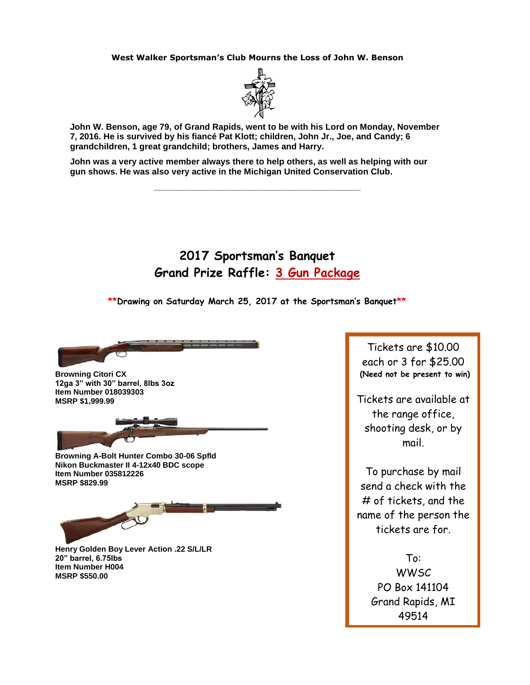#### **West Walker Sportsman's Club Mourns the Loss of John W. Benson**



**John W. Benson, age 79, of Grand Rapids, went to be with his Lord on Monday, November 7, 2016. He is survived by his fiancé Pat Klott; children, John Jr., Joe, and Candy; 6 grandchildren, 1 great grandchild; brothers, James and Harry.**

**\_\_\_\_\_\_\_\_\_\_\_\_\_\_\_\_\_\_\_\_\_\_\_\_\_\_\_\_\_\_\_\_\_\_\_\_\_\_\_\_\_\_\_**

**John was a very active member always there to help others, as well as helping with our gun shows. He was also very active in the Michigan United Conservation Club.**

## **2017 Sportsman's Banquet Grand Prize Raffle: 3 Gun Package**

**\*\*Drawing on Saturday March 25, 2017 at the Sportsman's Banquet\*\***



**Browning Citori CX 12ga 3" with 30" barrel, 8lbs 3oz Item Number 018039303 MSRP \$1,999.99** 

**MSRP \$829.99**

**Browning A-Bolt Hunter Combo 30-06 Spfld Nikon Buckmaster II 4-12x40 BDC scope Item Number 035812226**

**Henry Golden Boy Lever Action .22 S/L/LR 20" barrel, 6.75lbs Item Number H004 MSRP \$550.00**

Tickets are \$10.00 each or 3 for \$25.00 **(Need not be present to win)**

Tickets are available at the range office, shooting desk, or by mail.

To purchase by mail send a check with the # of tickets, and the name of the person the tickets are for.

> To: **WWSC** PO Box 141104 Grand Rapids, MI 49514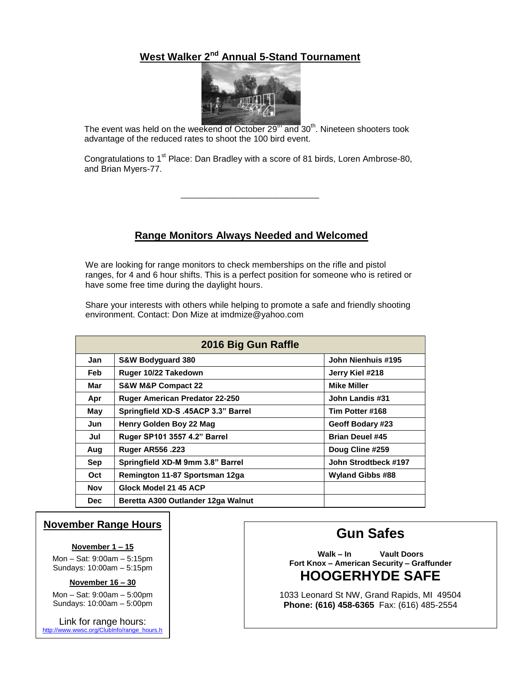## **West Walker 2nd Annual 5-Stand Tournament**



The event was held on the weekend of October  $29<sup>th</sup>$  and  $30<sup>th</sup>$ . Nineteen shooters took advantage of the reduced rates to shoot the 100 bird event.

Congratulations to 1<sup>st</sup> Place: Dan Bradley with a score of 81 birds, Loren Ambrose-80, and Brian Myers-77.

\_\_\_\_\_\_\_\_\_\_\_\_\_\_\_\_\_\_\_\_\_\_\_\_\_\_\_\_\_\_\_\_

### **Range Monitors Always Needed and Welcomed**

We are looking for range monitors to check memberships on the rifle and pistol ranges, for 4 and 6 hour shifts. This is a perfect position for someone who is retired or have some free time during the daylight hours.

Share your interests with others while helping to promote a safe and friendly shooting environment. Contact: Don Mize at imdmize@yahoo.com

| 2016 Big Gun Raffle |                                       |                         |  |  |  |  |
|---------------------|---------------------------------------|-------------------------|--|--|--|--|
| Jan                 | <b>S&amp;W Bodyquard 380</b>          | John Nienhuis #195      |  |  |  |  |
| <b>Feb</b>          | Ruger 10/22 Takedown                  | Jerry Kiel #218         |  |  |  |  |
| Mar                 | <b>S&amp;W M&amp;P Compact 22</b>     | <b>Mike Miller</b>      |  |  |  |  |
| Apr                 | <b>Ruger American Predator 22-250</b> | John Landis #31         |  |  |  |  |
| May                 | Springfield XD-S .45ACP 3.3" Barrel   | Tim Potter #168         |  |  |  |  |
| Jun                 | Henry Golden Boy 22 Mag               | Geoff Bodary #23        |  |  |  |  |
| Jul                 | Ruger SP101 3557 4.2" Barrel          | <b>Brian Deuel #45</b>  |  |  |  |  |
| Aug                 | <b>Ruger AR556.223</b>                | Doug Cline #259         |  |  |  |  |
| <b>Sep</b>          | Springfield XD-M 9mm 3.8" Barrel      | John Strodtbeck #197    |  |  |  |  |
| Oct                 | Remington 11-87 Sportsman 12ga        | <b>Wyland Gibbs #88</b> |  |  |  |  |
| Nov                 | Glock Model 21 45 ACP                 |                         |  |  |  |  |
| <b>Dec</b>          | Beretta A300 Outlander 12ga Walnut    |                         |  |  |  |  |

### **November Range Hours**

#### **November 1 – 15**

Mon – Sat: 9:00am – 5:15pm Sundays: 10:00am – 5:15pm

**November 16 – 30**

Mon – Sat: 9:00am – 5:00pm Sundays: 10:00am – 5:00pm

Link for range hours: http://www.wwsc.org/ClubInfo/range\_hours.h tm

# **Gun Safes**

**Walk – In Vault Doors Fort Knox – American Security – Graffunder HOOGERHYDE SAFE**

1033 Leonard St NW, Grand Rapids, MI 49504 **Phone: (616) 458-6365** Fax: (616) 485-2554